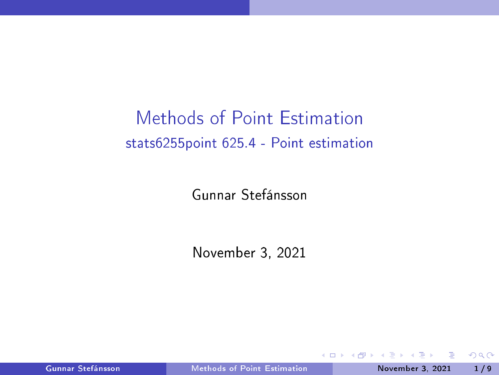# <span id="page-0-0"></span>Methods of Point Estimation stats6255point 625.4 - Point estimation

Gunnar Stefánsson

November 3, 2021

不自主

Gunnar Stefánsson Methods of Point [Estimation](#page-9-0) November 3, 2021 1/9

 $QQ$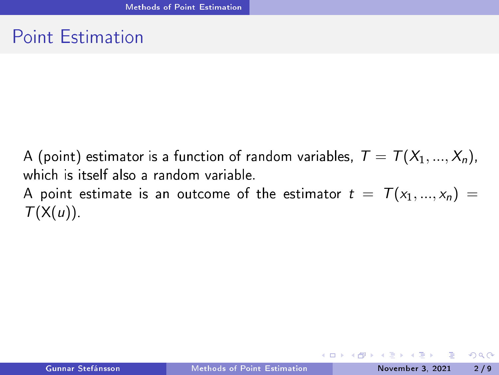#### <span id="page-1-0"></span>**Point Estimation**

A (point) estimator is a function of random variables,  $T = T(X_1, ..., X_n)$ , which is itself also a random variable. A point estimate is an outcome of the estimator  $t = T(x_1, ..., x_n) =$  $T(X(u))$ .

- 3

 $QQQ$ 

イロト イ押ト イヨト イヨト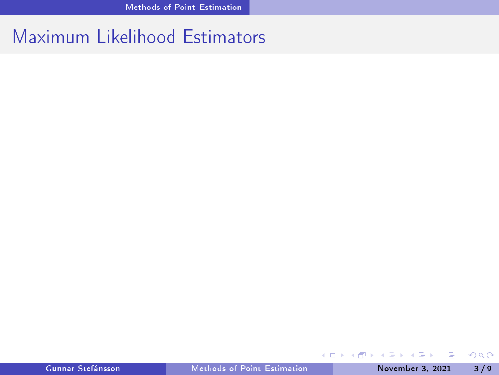#### Maximum Likelihood Estimators

メロトメ 倒り メミトメ ミト

÷,

 $298$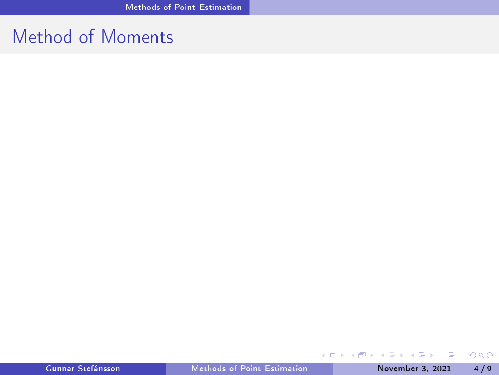## Method of Moments

重

 $298$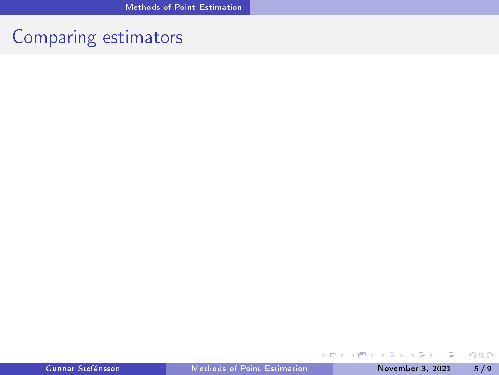# Comparing estimators

重

 $298$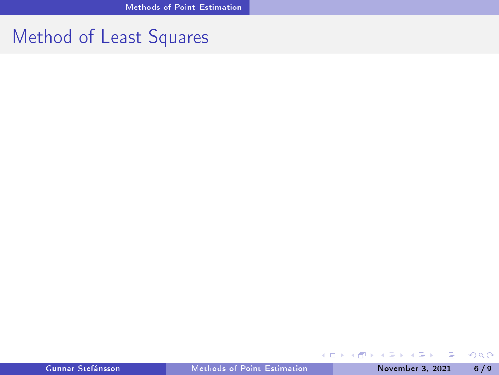## Method of Least Squares

イロト (御) (漫) (連)

重

 $298$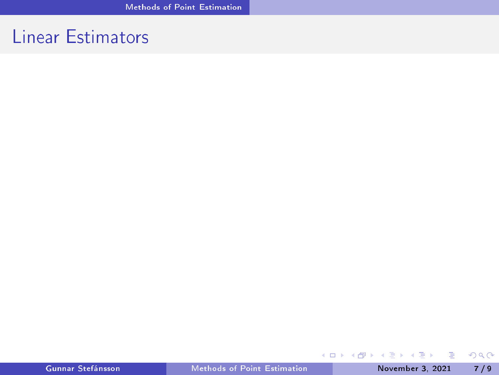## **Linear Estimators**

重

 $2QQ$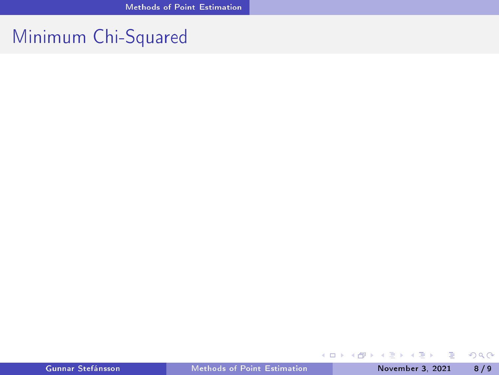### Minimum Chi-Squared

重

 $298$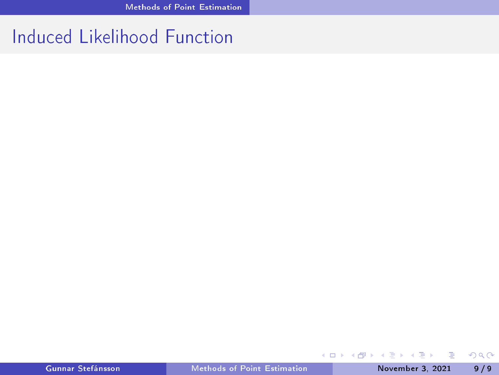## Induced Likelihood Function

重

 $298$